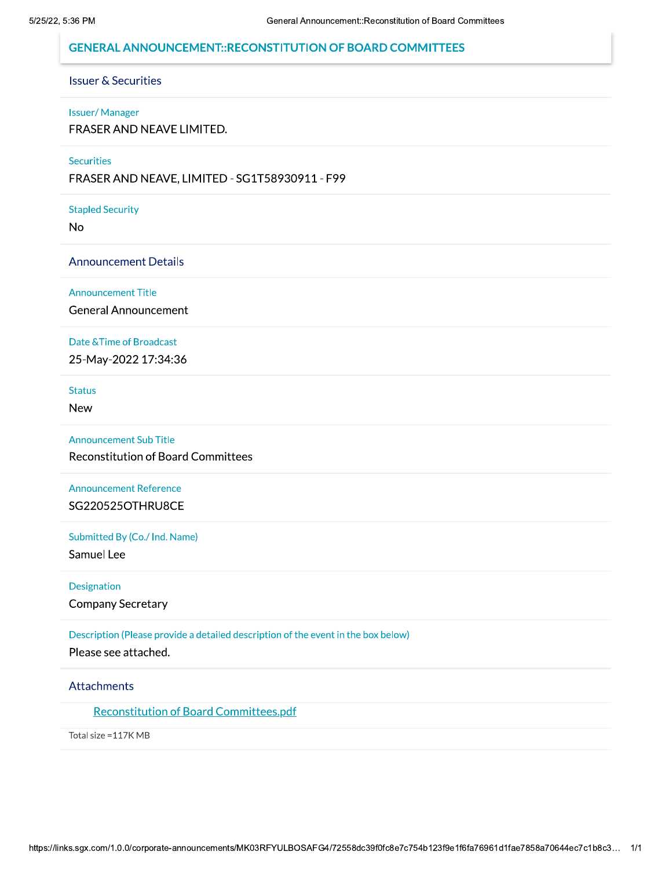## **GENERAL ANNOUNCEMENT::RECONSTITUTION OF BOARD COMMITTEES**

## **Issuer & Securities**

#### **Issuer/Manager**

FRASER AND NEAVE LIMITED.

#### **Securities**

FRASER AND NEAVE, LIMITED - SG1T58930911 - F99

#### **Stapled Security**

**No** 

## **Announcement Details**

#### **Announcement Title**

**General Announcement** 

#### Date & Time of Broadcast

25-May-2022 17:34:36

**Status** 

**New** 

#### **Announcement Sub Title**

**Reconstitution of Board Committees** 

# **Announcement Reference**

SG220525OTHRU8CE

## Submitted By (Co./ Ind. Name)

Samuel Lee

## Designation

**Company Secretary** 

Description (Please provide a detailed description of the event in the box below)

Please see attached.

### Attachments

## **Reconstitution of Board Committees.pdf**

Total size = 117K MB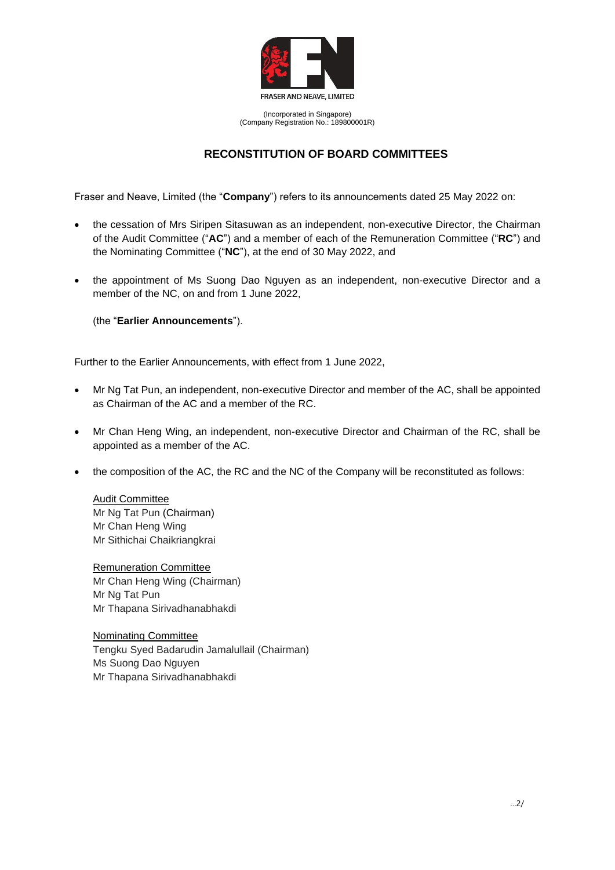

(Incorporated in Singapore) (Company Registration No.: 189800001R)

## **RECONSTITUTION OF BOARD COMMITTEES**

Fraser and Neave, Limited (the "**Company**") refers to its announcements dated 25 May 2022 on:

- the cessation of Mrs Siripen Sitasuwan as an independent, non-executive Director, the Chairman of the Audit Committee ("**AC**") and a member of each of the Remuneration Committee ("**RC**") and the Nominating Committee ("**NC**"), at the end of 30 May 2022, and
- the appointment of Ms Suong Dao Nguyen as an independent, non-executive Director and a member of the NC, on and from 1 June 2022,

(the "**Earlier Announcements**").

Further to the Earlier Announcements, with effect from 1 June 2022,

- Mr Ng Tat Pun, an independent, non-executive Director and member of the AC, shall be appointed as Chairman of the AC and a member of the RC.
- Mr Chan Heng Wing, an independent, non-executive Director and Chairman of the RC, shall be appointed as a member of the AC.
- the composition of the AC, the RC and the NC of the Company will be reconstituted as follows:

Audit Committee Mr Ng Tat Pun (Chairman) Mr Chan Heng Wing Mr Sithichai Chaikriangkrai

Remuneration Committee Mr Chan Heng Wing (Chairman) Mr Ng Tat Pun Mr Thapana Sirivadhanabhakdi

Nominating Committee Tengku Syed Badarudin Jamalullail (Chairman) Ms Suong Dao Nguyen Mr Thapana Sirivadhanabhakdi